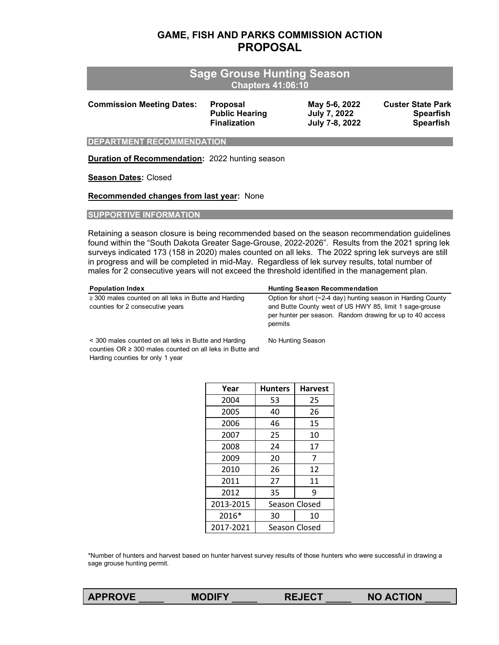# **GAME, FISH AND PARKS COMMISSION ACTION PROPOSAL**

|                                  | <b>Sage Grouse Hunting Season</b><br><b>Chapters 41:06:10</b>   |                                                 |                                                                  |
|----------------------------------|-----------------------------------------------------------------|-------------------------------------------------|------------------------------------------------------------------|
| <b>Commission Meeting Dates:</b> | <b>Proposal</b><br><b>Public Hearing</b><br><b>Finalization</b> | May 5-6, 2022<br>July 7, 2022<br>July 7-8, 2022 | <b>Custer State Park</b><br><b>Spearfish</b><br><b>Spearfish</b> |
| <b>DEPARTMENT RECOMMENDATION</b> |                                                                 |                                                 |                                                                  |

**Duration of Recommendation:** 2022 hunting season

#### **Season Dates:** Closed

**Recommended changes from last year:** None

#### **SUPPORTIVE INFORMATION**

Retaining a season closure is being recommended based on the season recommendation guidelines found within the "South Dakota Greater Sage-Grouse, 2022-2026". Results from the 2021 spring lek surveys indicated 173 (158 in 2020) males counted on all leks. The 2022 spring lek surveys are still in progress and will be completed in mid-May. Regardless of lek survey results, total number of males for 2 consecutive years will not exceed the threshold identified in the management plan.

| <b>Population Index</b>                                                                       | <b>Hunting Season Recommendation</b>                                                                                                                                                            |
|-----------------------------------------------------------------------------------------------|-------------------------------------------------------------------------------------------------------------------------------------------------------------------------------------------------|
| $\geq$ 300 males counted on all leks in Butte and Harding<br>counties for 2 consecutive years | Option for short (~2-4 day) hunting season in Harding County<br>and Butte County west of US HWY 85, limit 1 sage-grouse<br>per hunter per season. Random drawing for up to 40 access<br>permits |
| < 300 males counted on all leks in Butte and Harding                                          | No Hunting Season                                                                                                                                                                               |

< 300 males counted on all leks in Butte and Harding counties OR ≥ 300 males counted on all leks in Butte and Harding counties for only 1 year

| Year      | <b>Hunters</b> | <b>Harvest</b> |
|-----------|----------------|----------------|
| 2004      | 53             | 25             |
| 2005      | 40             | 26             |
| 2006      | 46             | 15             |
| 2007      | 25             | 10             |
| 2008      | 24             | 17             |
| 2009      | 20             | 7              |
| 2010      | 26             | 12             |
| 2011      | 27             | 11             |
| 2012      | 35             | 9              |
| 2013-2015 | Season Closed  |                |
| 2016*     | 30             | 10             |
| 2017-2021 | Season Closed  |                |

\*Number of hunters and harvest based on hunter harvest survey results of those hunters who were successful in drawing a sage grouse hunting permit.

| <b>MODIFY</b> |  |
|---------------|--|
|               |  |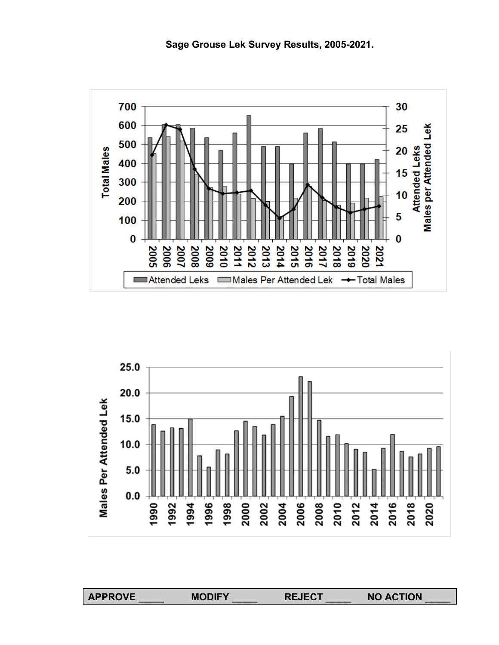





**APPROVE** \_\_\_\_ **MODIFY** \_\_\_\_ **REJECT** \_\_\_\_ **NO ACTION** \_\_\_\_